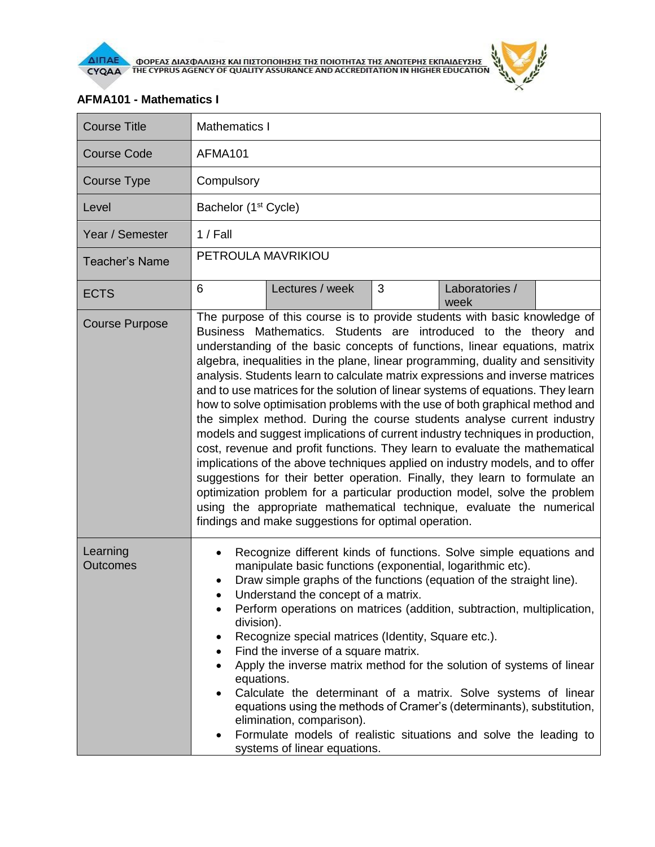

**AIFIAE OOPEAE AIAE DATE KAI HIETOHOIHEHE THE HOIOTHTAE THE ANOTEPHE EKHAIAEYEHE** 

## **AFMA101 - Mathematics I**

| <b>Course Title</b>   | Mathematics I                                                                                                                                                                                                                                                                                                                                                                                                                                                                                                                                                                                                                                                                                                                                                                                                                                                                                                                                                                                                                                                                                                                                                                             |  |  |  |
|-----------------------|-------------------------------------------------------------------------------------------------------------------------------------------------------------------------------------------------------------------------------------------------------------------------------------------------------------------------------------------------------------------------------------------------------------------------------------------------------------------------------------------------------------------------------------------------------------------------------------------------------------------------------------------------------------------------------------------------------------------------------------------------------------------------------------------------------------------------------------------------------------------------------------------------------------------------------------------------------------------------------------------------------------------------------------------------------------------------------------------------------------------------------------------------------------------------------------------|--|--|--|
| <b>Course Code</b>    | AFMA101                                                                                                                                                                                                                                                                                                                                                                                                                                                                                                                                                                                                                                                                                                                                                                                                                                                                                                                                                                                                                                                                                                                                                                                   |  |  |  |
| <b>Course Type</b>    | Compulsory                                                                                                                                                                                                                                                                                                                                                                                                                                                                                                                                                                                                                                                                                                                                                                                                                                                                                                                                                                                                                                                                                                                                                                                |  |  |  |
| Level                 | Bachelor (1 <sup>st</sup> Cycle)                                                                                                                                                                                                                                                                                                                                                                                                                                                                                                                                                                                                                                                                                                                                                                                                                                                                                                                                                                                                                                                                                                                                                          |  |  |  |
| Year / Semester       | $1/$ Fall                                                                                                                                                                                                                                                                                                                                                                                                                                                                                                                                                                                                                                                                                                                                                                                                                                                                                                                                                                                                                                                                                                                                                                                 |  |  |  |
| <b>Teacher's Name</b> | PETROULA MAVRIKIOU                                                                                                                                                                                                                                                                                                                                                                                                                                                                                                                                                                                                                                                                                                                                                                                                                                                                                                                                                                                                                                                                                                                                                                        |  |  |  |
| <b>ECTS</b>           | 3<br>6<br>Lectures / week<br>Laboratories /<br>week                                                                                                                                                                                                                                                                                                                                                                                                                                                                                                                                                                                                                                                                                                                                                                                                                                                                                                                                                                                                                                                                                                                                       |  |  |  |
| <b>Course Purpose</b> | The purpose of this course is to provide students with basic knowledge of<br>Business Mathematics. Students are introduced to the theory and<br>understanding of the basic concepts of functions, linear equations, matrix<br>algebra, inequalities in the plane, linear programming, duality and sensitivity<br>analysis. Students learn to calculate matrix expressions and inverse matrices<br>and to use matrices for the solution of linear systems of equations. They learn<br>how to solve optimisation problems with the use of both graphical method and<br>the simplex method. During the course students analyse current industry<br>models and suggest implications of current industry techniques in production,<br>cost, revenue and profit functions. They learn to evaluate the mathematical<br>implications of the above techniques applied on industry models, and to offer<br>suggestions for their better operation. Finally, they learn to formulate an<br>optimization problem for a particular production model, solve the problem<br>using the appropriate mathematical technique, evaluate the numerical<br>findings and make suggestions for optimal operation. |  |  |  |
| Learning<br>Outcomes  | Recognize different kinds of functions. Solve simple equations and<br>manipulate basic functions (exponential, logarithmic etc).<br>Draw simple graphs of the functions (equation of the straight line).<br>Understand the concept of a matrix.<br>Perform operations on matrices (addition, subtraction, multiplication,<br>division).<br>Recognize special matrices (Identity, Square etc.).<br>٠<br>Find the inverse of a square matrix.<br>٠<br>Apply the inverse matrix method for the solution of systems of linear<br>٠<br>equations.<br>Calculate the determinant of a matrix. Solve systems of linear<br>equations using the methods of Cramer's (determinants), substitution,<br>elimination, comparison).<br>Formulate models of realistic situations and solve the leading to<br>٠<br>systems of linear equations.                                                                                                                                                                                                                                                                                                                                                            |  |  |  |

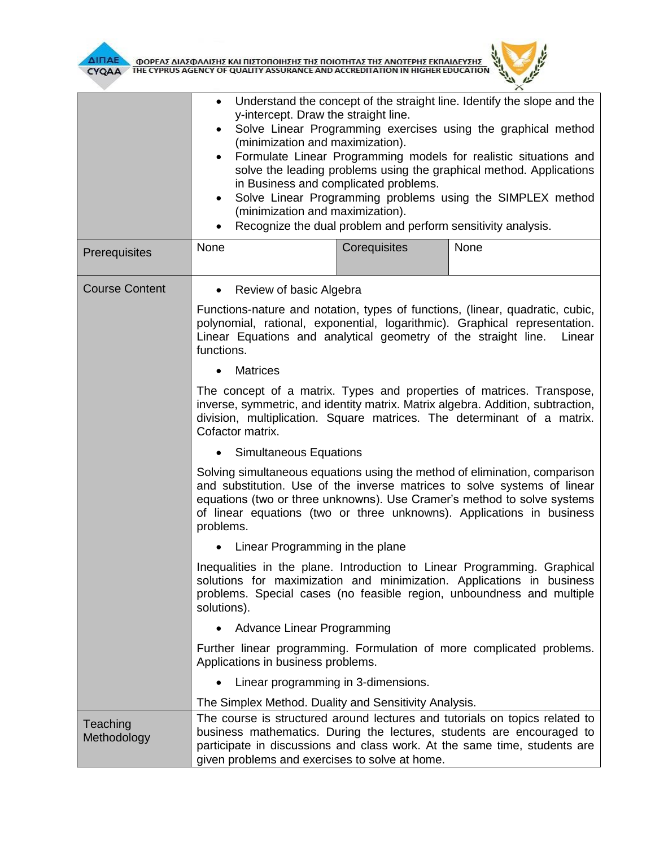

 $\overline{E}$  $\times$ 

|                         | Understand the concept of the straight line. Identify the slope and the<br>y-intercept. Draw the straight line.<br>Solve Linear Programming exercises using the graphical method<br>$\bullet$<br>(minimization and maximization).<br>Formulate Linear Programming models for realistic situations and<br>solve the leading problems using the graphical method. Applications<br>in Business and complicated problems.<br>Solve Linear Programming problems using the SIMPLEX method<br>٠<br>(minimization and maximization).<br>Recognize the dual problem and perform sensitivity analysis.<br>٠ |              |                                                                                                                                                                                                                                   |  |
|-------------------------|---------------------------------------------------------------------------------------------------------------------------------------------------------------------------------------------------------------------------------------------------------------------------------------------------------------------------------------------------------------------------------------------------------------------------------------------------------------------------------------------------------------------------------------------------------------------------------------------------|--------------|-----------------------------------------------------------------------------------------------------------------------------------------------------------------------------------------------------------------------------------|--|
| Prerequisites           | None                                                                                                                                                                                                                                                                                                                                                                                                                                                                                                                                                                                              | Corequisites | None                                                                                                                                                                                                                              |  |
| <b>Course Content</b>   | Review of basic Algebra<br>$\bullet$<br>Linear Equations and analytical geometry of the straight line.<br>functions.                                                                                                                                                                                                                                                                                                                                                                                                                                                                              |              | Functions-nature and notation, types of functions, (linear, quadratic, cubic,<br>polynomial, rational, exponential, logarithmic). Graphical representation.<br>Linear                                                             |  |
|                         | <b>Matrices</b><br>The concept of a matrix. Types and properties of matrices. Transpose,<br>inverse, symmetric, and identity matrix. Matrix algebra. Addition, subtraction,<br>division, multiplication. Square matrices. The determinant of a matrix.<br>Cofactor matrix.<br><b>Simultaneous Equations</b>                                                                                                                                                                                                                                                                                       |              |                                                                                                                                                                                                                                   |  |
|                         |                                                                                                                                                                                                                                                                                                                                                                                                                                                                                                                                                                                                   |              |                                                                                                                                                                                                                                   |  |
|                         | Solving simultaneous equations using the method of elimination, comparison<br>and substitution. Use of the inverse matrices to solve systems of linear<br>equations (two or three unknowns). Use Cramer's method to solve systems<br>of linear equations (two or three unknowns). Applications in business<br>problems.                                                                                                                                                                                                                                                                           |              |                                                                                                                                                                                                                                   |  |
|                         | Linear Programming in the plane<br>٠                                                                                                                                                                                                                                                                                                                                                                                                                                                                                                                                                              |              |                                                                                                                                                                                                                                   |  |
|                         | solutions).                                                                                                                                                                                                                                                                                                                                                                                                                                                                                                                                                                                       |              | Inequalities in the plane. Introduction to Linear Programming. Graphical<br>solutions for maximization and minimization. Applications in business<br>problems. Special cases (no feasible region, unboundness and multiple        |  |
|                         | Advance Linear Programming                                                                                                                                                                                                                                                                                                                                                                                                                                                                                                                                                                        |              |                                                                                                                                                                                                                                   |  |
|                         | Applications in business problems.                                                                                                                                                                                                                                                                                                                                                                                                                                                                                                                                                                |              | Further linear programming. Formulation of more complicated problems.                                                                                                                                                             |  |
|                         | Linear programming in 3-dimensions.<br>$\bullet$                                                                                                                                                                                                                                                                                                                                                                                                                                                                                                                                                  |              |                                                                                                                                                                                                                                   |  |
|                         | The Simplex Method. Duality and Sensitivity Analysis.                                                                                                                                                                                                                                                                                                                                                                                                                                                                                                                                             |              |                                                                                                                                                                                                                                   |  |
| Teaching<br>Methodology | given problems and exercises to solve at home.                                                                                                                                                                                                                                                                                                                                                                                                                                                                                                                                                    |              | The course is structured around lectures and tutorials on topics related to<br>business mathematics. During the lectures, students are encouraged to<br>participate in discussions and class work. At the same time, students are |  |